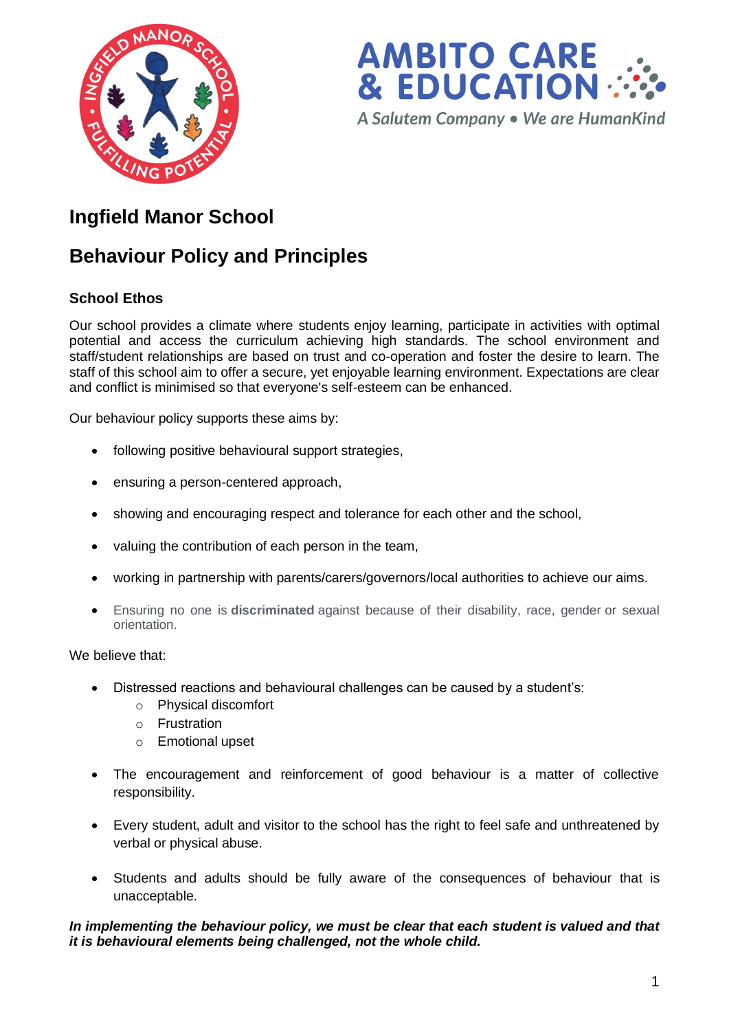



# **Ingfield Manor School**

# **Behaviour Policy and Principles**

# **School Ethos**

Our school provides a climate where students enjoy learning, participate in activities with optimal potential and access the curriculum achieving high standards. The school environment and staff/student relationships are based on trust and co-operation and foster the desire to learn. The staff of this school aim to offer a secure, yet enjoyable learning environment. Expectations are clear and conflict is minimised so that everyone's self-esteem can be enhanced.

Our behaviour policy supports these aims by:

- following positive behavioural support strategies,
- ensuring a person-centered approach,
- showing and encouraging respect and tolerance for each other and the school,
- valuing the contribution of each person in the team,
- working in partnership with parents/carers/governors/local authorities to achieve our aims.
- Ensuring no one is **discriminated** against because of their disability, race, gender or sexual orientation.

We believe that:

- Distressed reactions and behavioural challenges can be caused by a student's:
	- o Physical discomfort
	- o Frustration
	- o Emotional upset
- The encouragement and reinforcement of good behaviour is a matter of collective responsibility.
- Every student, adult and visitor to the school has the right to feel safe and unthreatened by verbal or physical abuse.
- Students and adults should be fully aware of the consequences of behaviour that is unacceptable.

# *In implementing the behaviour policy, we must be clear that each student is valued and that it is behavioural elements being challenged, not the whole child.*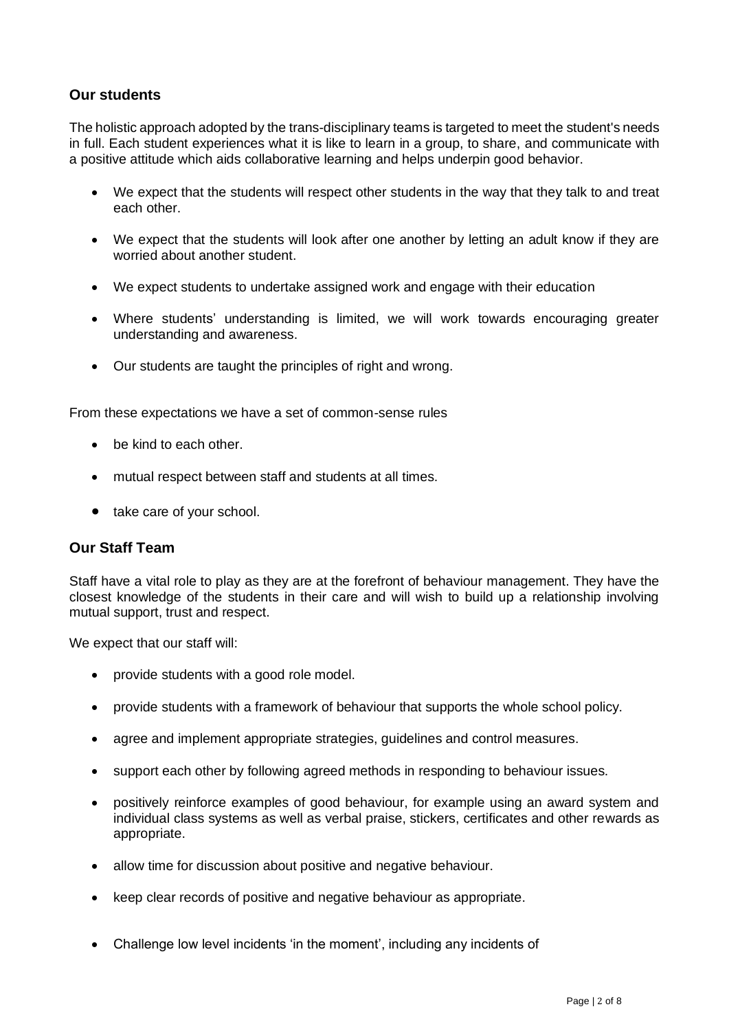# **Our students**

The holistic approach adopted by the trans-disciplinary teams is targeted to meet the student's needs in full. Each student experiences what it is like to learn in a group, to share, and communicate with a positive attitude which aids collaborative learning and helps underpin good behavior.

- We expect that the students will respect other students in the way that they talk to and treat each other.
- We expect that the students will look after one another by letting an adult know if they are worried about another student.
- We expect students to undertake assigned work and engage with their education
- Where students' understanding is limited, we will work towards encouraging greater understanding and awareness.
- Our students are taught the principles of right and wrong.

From these expectations we have a set of common-sense rules

- be kind to each other.
- mutual respect between staff and students at all times.
- take care of your school.

# **Our Staff Team**

Staff have a vital role to play as they are at the forefront of behaviour management. They have the closest knowledge of the students in their care and will wish to build up a relationship involving mutual support, trust and respect.

We expect that our staff will:

- provide students with a good role model.
- provide students with a framework of behaviour that supports the whole school policy.
- agree and implement appropriate strategies, guidelines and control measures.
- support each other by following agreed methods in responding to behaviour issues.
- positively reinforce examples of good behaviour, for example using an award system and individual class systems as well as verbal praise, stickers, certificates and other rewards as appropriate.
- allow time for discussion about positive and negative behaviour.
- keep clear records of positive and negative behaviour as appropriate.
- Challenge low level incidents 'in the moment', including any incidents of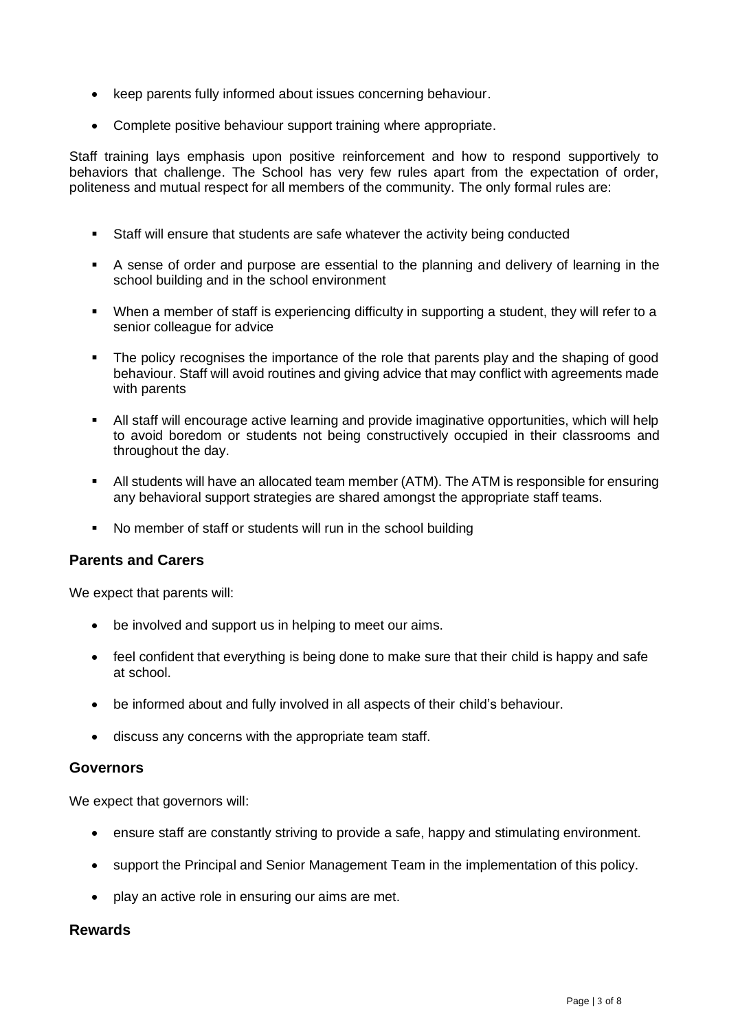- keep parents fully informed about issues concerning behaviour.
- Complete positive behaviour support training where appropriate.

Staff training lays emphasis upon positive reinforcement and how to respond supportively to behaviors that challenge. The School has very few rules apart from the expectation of order, politeness and mutual respect for all members of the community. The only formal rules are:

- Staff will ensure that students are safe whatever the activity being conducted
- A sense of order and purpose are essential to the planning and delivery of learning in the school building and in the school environment
- When a member of staff is experiencing difficulty in supporting a student, they will refer to a senior colleague for advice
- The policy recognises the importance of the role that parents play and the shaping of good behaviour. Staff will avoid routines and giving advice that may conflict with agreements made with parents
- All staff will encourage active learning and provide imaginative opportunities, which will help to avoid boredom or students not being constructively occupied in their classrooms and throughout the day.
- All students will have an allocated team member (ATM). The ATM is responsible for ensuring any behavioral support strategies are shared amongst the appropriate staff teams.
- No member of staff or students will run in the school building

# **Parents and Carers**

We expect that parents will:

- be involved and support us in helping to meet our aims.
- feel confident that everything is being done to make sure that their child is happy and safe at school.
- be informed about and fully involved in all aspects of their child's behaviour.
- discuss any concerns with the appropriate team staff.

# **Governors**

We expect that governors will:

- ensure staff are constantly striving to provide a safe, happy and stimulating environment.
- support the Principal and Senior Management Team in the implementation of this policy.
- play an active role in ensuring our aims are met.

# **Rewards**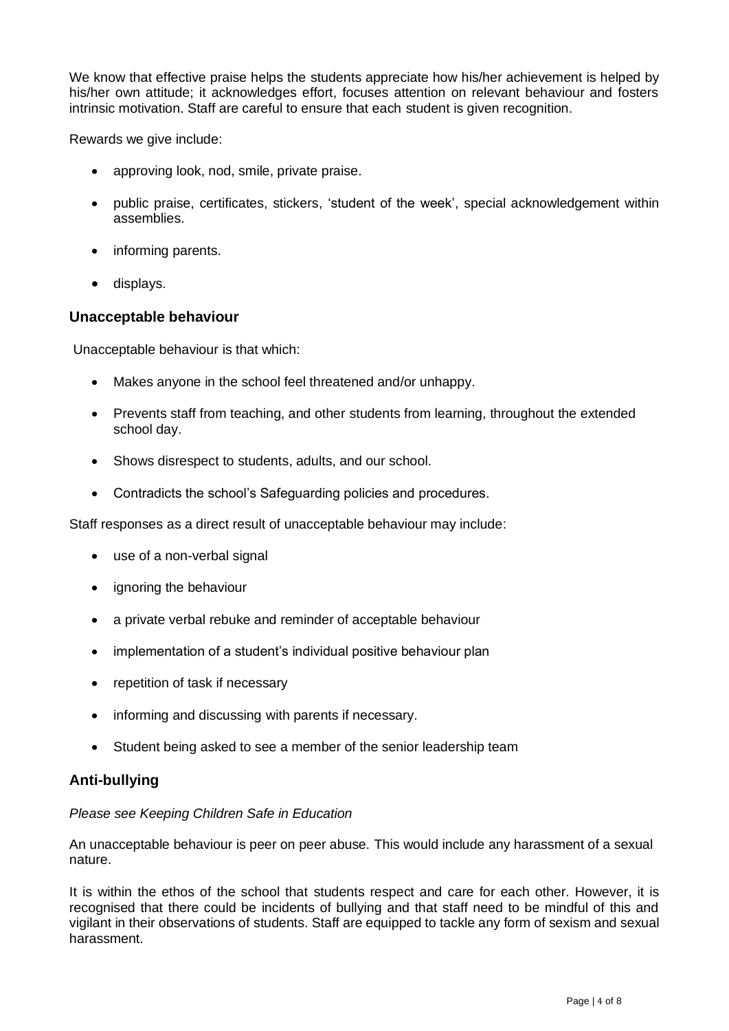We know that effective praise helps the students appreciate how his/her achievement is helped by his/her own attitude; it acknowledges effort, focuses attention on relevant behaviour and fosters intrinsic motivation. Staff are careful to ensure that each student is given recognition.

Rewards we give include:

- approving look, nod, smile, private praise.
- public praise, certificates, stickers, 'student of the week', special acknowledgement within assemblies.
- informing parents.
- displays.

# **Unacceptable behaviour**

Unacceptable behaviour is that which:

- Makes anyone in the school feel threatened and/or unhappy.
- Prevents staff from teaching, and other students from learning, throughout the extended school day.
- Shows disrespect to students, adults, and our school.
- Contradicts the school's Safeguarding policies and procedures.

Staff responses as a direct result of unacceptable behaviour may include:

- use of a non-verbal signal
- ignoring the behaviour
- a private verbal rebuke and reminder of acceptable behaviour
- implementation of a student's individual positive behaviour plan
- repetition of task if necessary
- informing and discussing with parents if necessary.
- Student being asked to see a member of the senior leadership team

# **Anti-bullying**

# *Please see Keeping Children Safe in Education*

An unacceptable behaviour is peer on peer abuse. This would include any harassment of a sexual nature.

It is within the ethos of the school that students respect and care for each other. However, it is recognised that there could be incidents of bullying and that staff need to be mindful of this and vigilant in their observations of students. Staff are equipped to tackle any form of sexism and sexual harassment.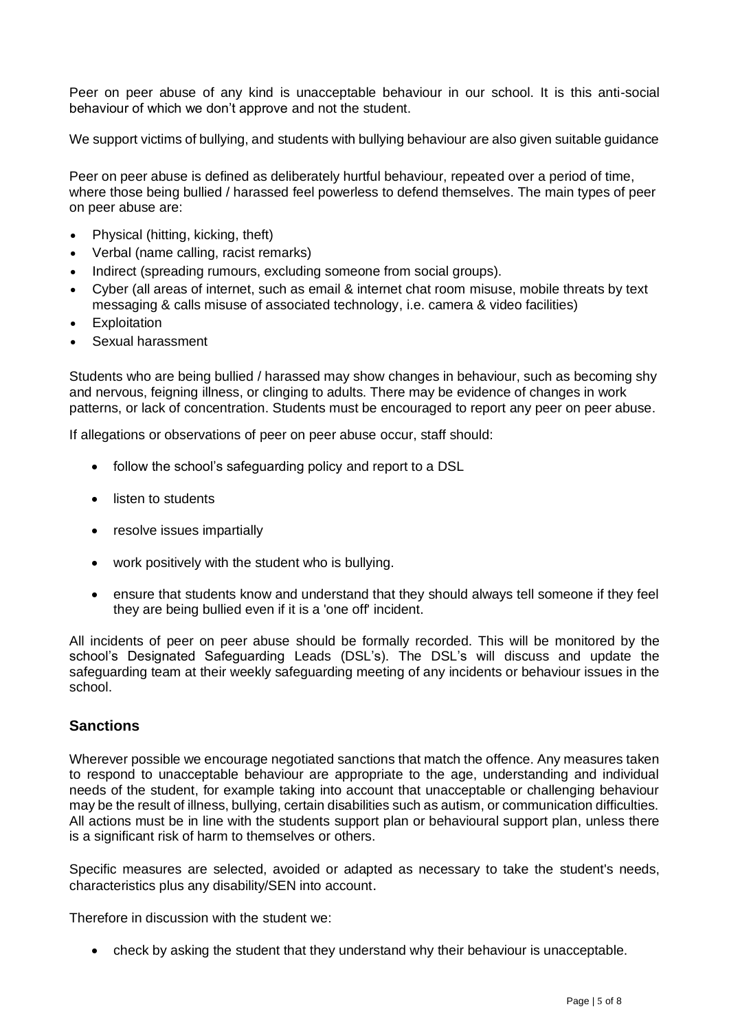Peer on peer abuse of any kind is unacceptable behaviour in our school. It is this anti-social behaviour of which we don't approve and not the student.

We support victims of bullying, and students with bullying behaviour are also given suitable guidance

Peer on peer abuse is defined as deliberately hurtful behaviour, repeated over a period of time, where those being bullied / harassed feel powerless to defend themselves. The main types of peer on peer abuse are:

- Physical (hitting, kicking, theft)
- Verbal (name calling, racist remarks)
- Indirect (spreading rumours, excluding someone from social groups).
- Cyber (all areas of internet, such as email & internet chat room misuse, mobile threats by text messaging & calls misuse of associated technology, i.e. camera & video facilities)
- Exploitation
- Sexual harassment

Students who are being bullied / harassed may show changes in behaviour, such as becoming shy and nervous, feigning illness, or clinging to adults. There may be evidence of changes in work patterns, or lack of concentration. Students must be encouraged to report any peer on peer abuse.

If allegations or observations of peer on peer abuse occur, staff should:

- follow the school's safeguarding policy and report to a DSL
- listen to students
- resolve issues impartially
- work positively with the student who is bullying.
- ensure that students know and understand that they should always tell someone if they feel they are being bullied even if it is a 'one off' incident.

All incidents of peer on peer abuse should be formally recorded. This will be monitored by the school's Designated Safeguarding Leads (DSL's). The DSL's will discuss and update the safeguarding team at their weekly safeguarding meeting of any incidents or behaviour issues in the school.

# **Sanctions**

Wherever possible we encourage negotiated sanctions that match the offence. Any measures taken to respond to unacceptable behaviour are appropriate to the age, understanding and individual needs of the student, for example taking into account that unacceptable or challenging behaviour may be the result of illness, bullying, certain disabilities such as autism, or communication difficulties. All actions must be in line with the students support plan or behavioural support plan, unless there is a significant risk of harm to themselves or others.

Specific measures are selected, avoided or adapted as necessary to take the student's needs, characteristics plus any disability/SEN into account.

Therefore in discussion with the student we:

• check by asking the student that they understand why their behaviour is unacceptable.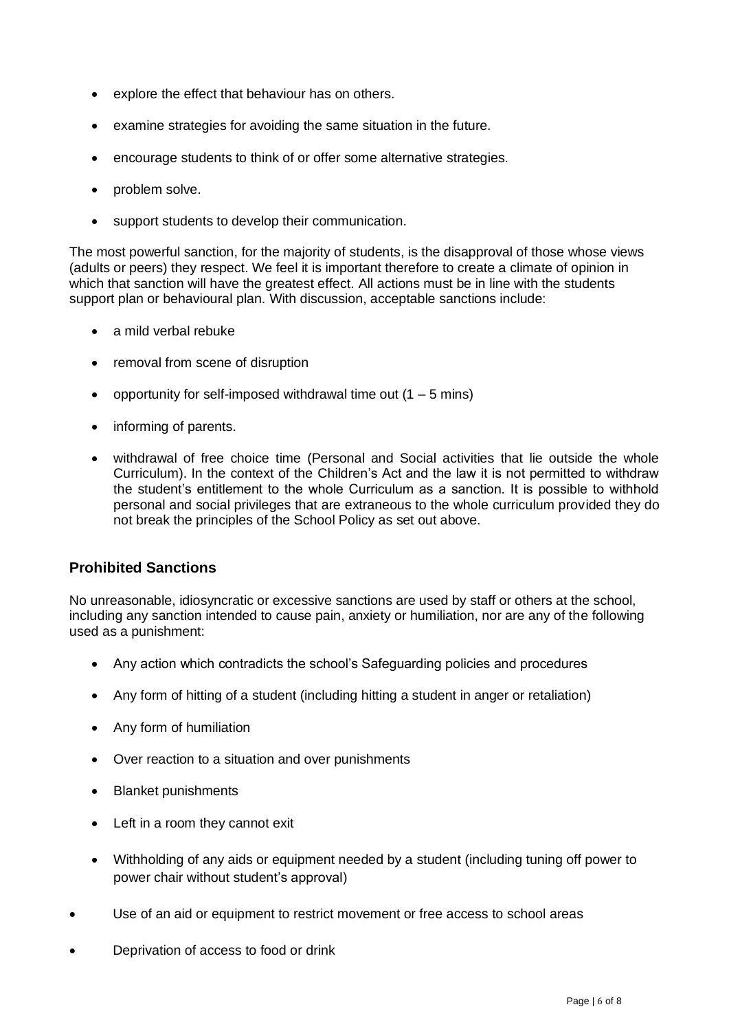- explore the effect that behaviour has on others.
- examine strategies for avoiding the same situation in the future.
- encourage students to think of or offer some alternative strategies.
- problem solve.
- support students to develop their communication.

The most powerful sanction, for the majority of students, is the disapproval of those whose views (adults or peers) they respect. We feel it is important therefore to create a climate of opinion in which that sanction will have the greatest effect. All actions must be in line with the students support plan or behavioural plan. With discussion, acceptable sanctions include:

- a mild verbal rebuke
- removal from scene of disruption
- opportunity for self-imposed withdrawal time out  $(1 5$  mins)
- informing of parents.
- withdrawal of free choice time (Personal and Social activities that lie outside the whole Curriculum). In the context of the Children's Act and the law it is not permitted to withdraw the student's entitlement to the whole Curriculum as a sanction. It is possible to withhold personal and social privileges that are extraneous to the whole curriculum provided they do not break the principles of the School Policy as set out above.

# **Prohibited Sanctions**

No unreasonable, idiosyncratic or excessive sanctions are used by staff or others at the school, including any sanction intended to cause pain, anxiety or humiliation, nor are any of the following used as a punishment:

- Any action which contradicts the school's Safeguarding policies and procedures
- Any form of hitting of a student (including hitting a student in anger or retaliation)
- Any form of humiliation
- Over reaction to a situation and over punishments
- Blanket punishments
- Left in a room they cannot exit
- Withholding of any aids or equipment needed by a student (including tuning off power to power chair without student's approval)
- Use of an aid or equipment to restrict movement or free access to school areas
- Deprivation of access to food or drink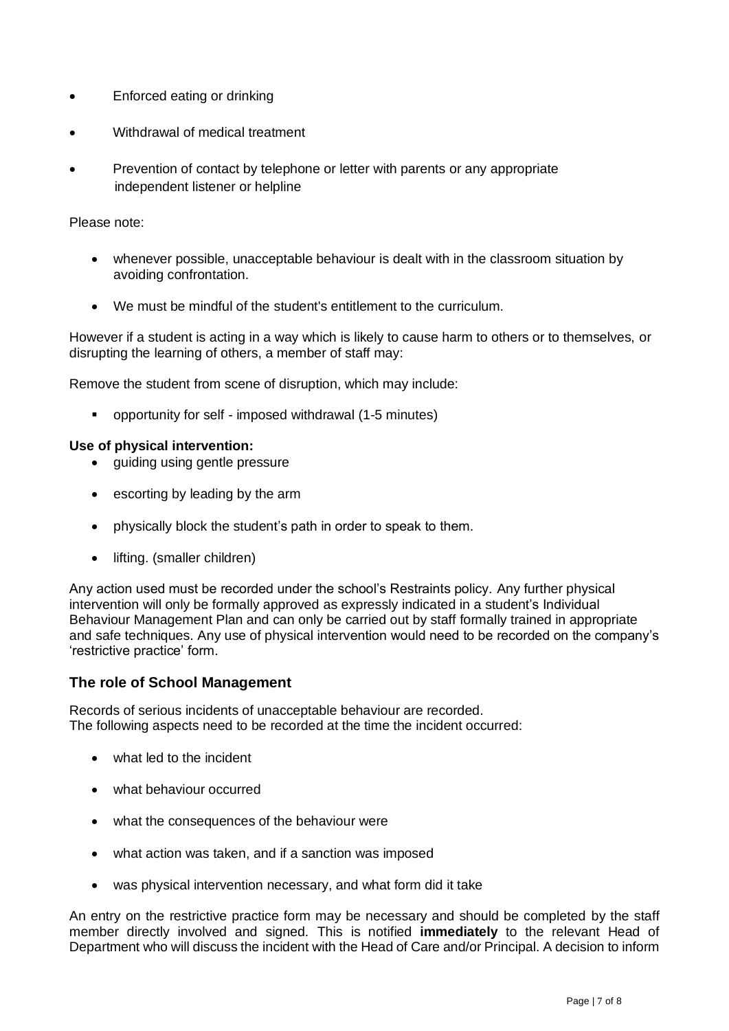- Enforced eating or drinking
- Withdrawal of medical treatment
- Prevention of contact by telephone or letter with parents or any appropriate independent listener or helpline

Please note:

- whenever possible, unacceptable behaviour is dealt with in the classroom situation by avoiding confrontation.
- We must be mindful of the student's entitlement to the curriculum.

However if a student is acting in a way which is likely to cause harm to others or to themselves, or disrupting the learning of others, a member of staff may:

Remove the student from scene of disruption, which may include:

■ opportunity for self - imposed withdrawal (1-5 minutes)

#### **Use of physical intervention:**

- quiding using gentle pressure
- escorting by leading by the arm
- physically block the student's path in order to speak to them.
- lifting. (smaller children)

Any action used must be recorded under the school's Restraints policy. Any further physical intervention will only be formally approved as expressly indicated in a student's Individual Behaviour Management Plan and can only be carried out by staff formally trained in appropriate and safe techniques. Any use of physical intervention would need to be recorded on the company's 'restrictive practice' form.

# **The role of School Management**

Records of serious incidents of unacceptable behaviour are recorded. The following aspects need to be recorded at the time the incident occurred:

- what led to the incident
- what behaviour occurred
- what the consequences of the behaviour were
- what action was taken, and if a sanction was imposed
- was physical intervention necessary, and what form did it take

An entry on the restrictive practice form may be necessary and should be completed by the staff member directly involved and signed. This is notified **immediately** to the relevant Head of Department who will discuss the incident with the Head of Care and/or Principal. A decision to inform